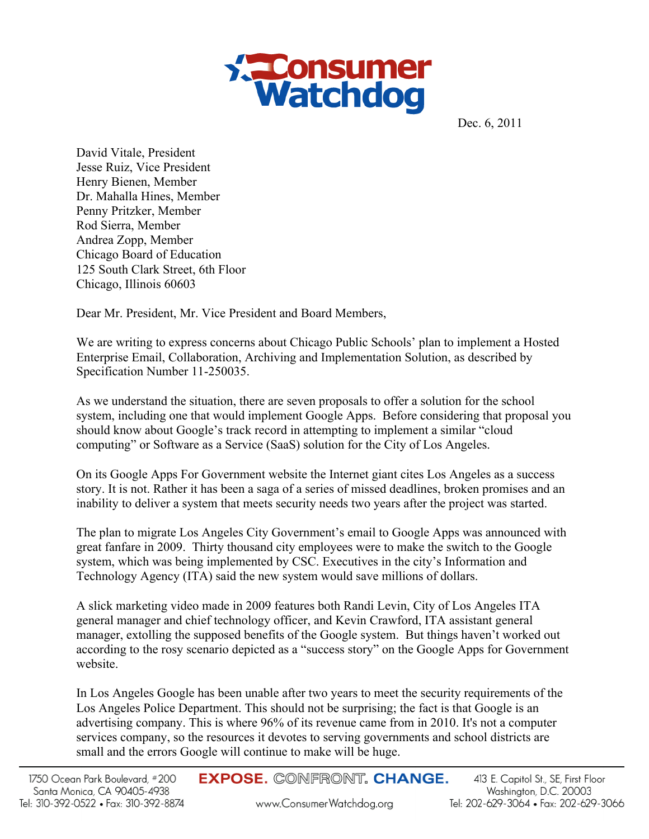

Dec. 6, 2011

David Vitale, President Jesse Ruiz, Vice President Henry Bienen, Member Dr. Mahalla Hines, Member Penny Pritzker, Member Rod Sierra, Member Andrea Zopp, Member Chicago Board of Education 125 South Clark Street, 6th Floor Chicago, Illinois 60603

Dear Mr. President, Mr. Vice President and Board Members,

We are writing to express concerns about Chicago Public Schools' plan to implement a Hosted Enterprise Email, Collaboration, Archiving and Implementation Solution, as described by Specification Number 11-250035.

As we understand the situation, there are seven proposals to offer a solution for the school system, including one that would implement Google Apps. Before considering that proposal you should know about Google's track record in attempting to implement a similar "cloud computing" or Software as a Service (SaaS) solution for the City of Los Angeles.

On its Google Apps For Government website the Internet giant cites Los Angeles as a success story. It is not. Rather it has been a saga of a series of missed deadlines, broken promises and an inability to deliver a system that meets security needs two years after the project was started.

The plan to migrate Los Angeles City Government's email to Google Apps was announced with great fanfare in 2009. Thirty thousand city employees were to make the switch to the Google system, which was being implemented by CSC. Executives in the city's Information and Technology Agency (ITA) said the new system would save millions of dollars.

A slick marketing video made in 2009 features both Randi Levin, City of Los Angeles ITA general manager and chief technology officer, and Kevin Crawford, ITA assistant general manager, extolling the supposed benefits of the Google system. But things haven't worked out according to the rosy scenario depicted as a "success story" on the Google Apps for Government website.

In Los Angeles Google has been unable after two years to meet the security requirements of the Los Angeles Police Department. This should not be surprising; the fact is that Google is an advertising company. This is where 96% of its revenue came from in 2010. It's not a computer services company, so the resources it devotes to serving governments and school districts are small and the errors Google will continue to make will be huge.

**EXPOSE. CONFRONT. CHANGE.**